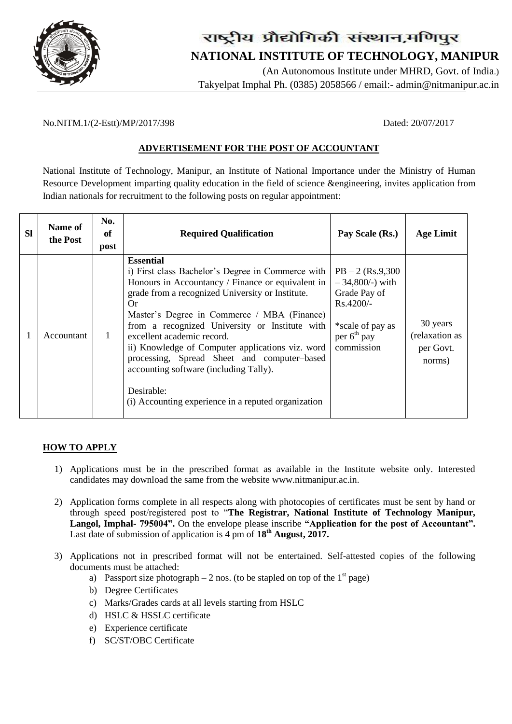

# राष्ट्रीय प्रौद्योगिकी संस्थान,मणिपुर  **NATIONAL INSTITUTE OF TECHNOLOGY, MANIPUR**

 (An Autonomous Institute under MHRD, Govt. of India.) Takyelpat Imphal Ph. (0385) 2058566 / email:- admin@nitmanipur.ac.in

#### No.NITM.1/(2-Estt)/MP/2017/398 Dated: 20/07/2017

### **ADVERTISEMENT FOR THE POST OF ACCOUNTANT**

National Institute of Technology, Manipur, an Institute of National Importance under the Ministry of Human Resource Development imparting quality education in the field of science &engineering, invites application from Indian nationals for recruitment to the following posts on regular appointment:

| <b>Sl</b> | Name of<br>the Post | No.<br>of<br>post | <b>Required Qualification</b>                                                                                                                                                                                                                                                                                                                                                                                                                                                                                                         | Pay Scale (Rs.)                                                                                                             | <b>Age Limit</b>                                  |
|-----------|---------------------|-------------------|---------------------------------------------------------------------------------------------------------------------------------------------------------------------------------------------------------------------------------------------------------------------------------------------------------------------------------------------------------------------------------------------------------------------------------------------------------------------------------------------------------------------------------------|-----------------------------------------------------------------------------------------------------------------------------|---------------------------------------------------|
|           | Accountant          |                   | <b>Essential</b><br>i) First class Bachelor's Degree in Commerce with<br>Honours in Accountancy / Finance or equivalent in<br>grade from a recognized University or Institute.<br>Or<br>Master's Degree in Commerce / MBA (Finance)<br>from a recognized University or Institute with<br>excellent academic record.<br>ii) Knowledge of Computer applications viz. word<br>processing, Spread Sheet and computer-based<br>accounting software (including Tally).<br>Desirable:<br>(i) Accounting experience in a reputed organization | $PB - 2$ (Rs.9,300)<br>$-34,800/-$ ) with<br>Grade Pay of<br>$Rs.4200/-$<br>*scale of pay as<br>per $6th$ pay<br>commission | 30 years<br>(relaxation as<br>per Govt.<br>norms) |

#### **HOW TO APPLY**

- 1) Applications must be in the prescribed format as available in the Institute website only. Interested candidates may download the same from the website [www.nitmanipur.ac.in.](http://www.nitmanipur.ac.in/)
- 2) Application forms complete in all respects along with photocopies of certificates must be sent by hand or through speed post/registered post to "**The Registrar, National Institute of Technology Manipur, Langol, Imphal- 795004".** On the envelope please inscribe **"Application for the post of Accountant".**  Last date of submission of application is 4 pm of **18th August, 2017.**
- 3) Applications not in prescribed format will not be entertained. Self-attested copies of the following documents must be attached:
	- a) Passport size photograph 2 nos. (to be stapled on top of the  $1<sup>st</sup>$  page)
	- b) Degree Certificates
	- c) Marks/Grades cards at all levels starting from HSLC
	- d) HSLC & HSSLC certificate
	- e) Experience certificate
	- f) SC/ST/OBC Certificate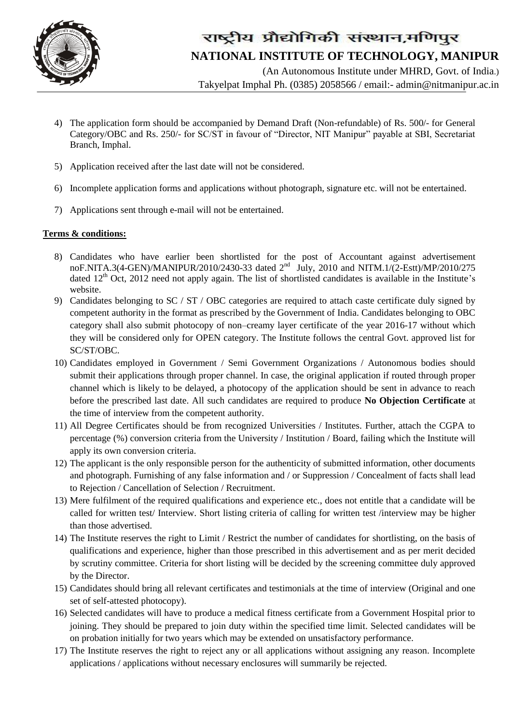

## राष्ट्रीय प्रौद्योगिकी संस्थान,मणिपुर  **NATIONAL INSTITUTE OF TECHNOLOGY, MANIPUR**

 (An Autonomous Institute under MHRD, Govt. of India.) Takyelpat Imphal Ph. (0385) 2058566 / email:- admin@nitmanipur.ac.in

- 4) The application form should be accompanied by Demand Draft (Non-refundable) of Rs. 500/- for General Category/OBC and Rs. 250/- for SC/ST in favour of "Director, NIT Manipur" payable at SBI, Secretariat Branch, Imphal.
- 5) Application received after the last date will not be considered.
- 6) Incomplete application forms and applications without photograph, signature etc. will not be entertained.
- 7) Applications sent through e-mail will not be entertained.

### **Terms & conditions:**

- 8) Candidates who have earlier been shortlisted for the post of Accountant against advertisement noF.NITA.3(4-GEN)/MANIPUR/2010/2430-33 dated 2<sup>nd</sup> July, 2010 and NITM.1/(2-Estt)/MP/2010/275 dated  $12<sup>th</sup>$  Oct, 2012 need not apply again. The list of shortlisted candidates is available in the Institute's website.
- 9) Candidates belonging to SC / ST / OBC categories are required to attach caste certificate duly signed by competent authority in the format as prescribed by the Government of India. Candidates belonging to OBC category shall also submit photocopy of non–creamy layer certificate of the year 2016-17 without which they will be considered only for OPEN category. The Institute follows the central Govt. approved list for SC/ST/OBC.
- 10) Candidates employed in Government / Semi Government Organizations / Autonomous bodies should submit their applications through proper channel. In case, the original application if routed through proper channel which is likely to be delayed, a photocopy of the application should be sent in advance to reach before the prescribed last date. All such candidates are required to produce **No Objection Certificate** at the time of interview from the competent authority.
- 11) All Degree Certificates should be from recognized Universities / Institutes. Further, attach the CGPA to percentage (%) conversion criteria from the University / Institution / Board, failing which the Institute will apply its own conversion criteria.
- 12) The applicant is the only responsible person for the authenticity of submitted information, other documents and photograph. Furnishing of any false information and / or Suppression / Concealment of facts shall lead to Rejection / Cancellation of Selection / Recruitment.
- 13) Mere fulfilment of the required qualifications and experience etc., does not entitle that a candidate will be called for written test/ Interview. Short listing criteria of calling for written test /interview may be higher than those advertised.
- 14) The Institute reserves the right to Limit / Restrict the number of candidates for shortlisting, on the basis of qualifications and experience, higher than those prescribed in this advertisement and as per merit decided by scrutiny committee. Criteria for short listing will be decided by the screening committee duly approved by the Director.
- 15) Candidates should bring all relevant certificates and testimonials at the time of interview (Original and one set of self-attested photocopy).
- 16) Selected candidates will have to produce a medical fitness certificate from a Government Hospital prior to joining. They should be prepared to join duty within the specified time limit. Selected candidates will be on probation initially for two years which may be extended on unsatisfactory performance.
- 17) The Institute reserves the right to reject any or all applications without assigning any reason. Incomplete applications / applications without necessary enclosures will summarily be rejected.